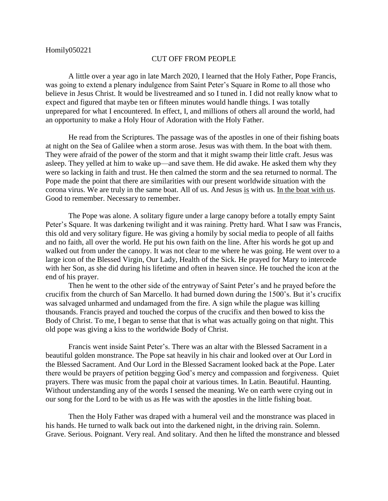## CUT OFF FROM PEOPLE

A little over a year ago in late March 2020, I learned that the Holy Father, Pope Francis, was going to extend a plenary indulgence from Saint Peter's Square in Rome to all those who believe in Jesus Christ. It would be livestreamed and so I tuned in. I did not really know what to expect and figured that maybe ten or fifteen minutes would handle things. I was totally unprepared for what I encountered. In effect, I, and millions of others all around the world, had an opportunity to make a Holy Hour of Adoration with the Holy Father.

He read from the Scriptures. The passage was of the apostles in one of their fishing boats at night on the Sea of Galilee when a storm arose. Jesus was with them. In the boat with them. They were afraid of the power of the storm and that it might swamp their little craft. Jesus was asleep. They yelled at him to wake up—and save them. He did awake. He asked them why they were so lacking in faith and trust. He then calmed the storm and the sea returned to normal. The Pope made the point that there are similarities with our present worldwide situation with the corona virus. We are truly in the same boat. All of us. And Jesus is with us. In the boat with us. Good to remember. Necessary to remember.

The Pope was alone. A solitary figure under a large canopy before a totally empty Saint Peter's Square. It was darkening twilight and it was raining. Pretty hard. What I saw was Francis, this old and very solitary figure. He was giving a homily by social media to people of all faiths and no faith, all over the world. He put his own faith on the line. After his words he got up and walked out from under the canopy. It was not clear to me where he was going. He went over to a large icon of the Blessed Virgin, Our Lady, Health of the Sick. He prayed for Mary to intercede with her Son, as she did during his lifetime and often in heaven since. He touched the icon at the end of his prayer.

Then he went to the other side of the entryway of Saint Peter's and he prayed before the crucifix from the church of San Marcello. It had burned down during the 1500's. But it's crucifix was salvaged unharmed and undamaged from the fire. A sign while the plague was killing thousands. Francis prayed and touched the corpus of the crucifix and then bowed to kiss the Body of Christ. To me, I began to sense that that is what was actually going on that night. This old pope was giving a kiss to the worldwide Body of Christ.

Francis went inside Saint Peter's. There was an altar with the Blessed Sacrament in a beautiful golden monstrance. The Pope sat heavily in his chair and looked over at Our Lord in the Blessed Sacrament. And Our Lord in the Blessed Sacrament looked back at the Pope. Later there would be prayers of petition begging God's mercy and compassion and forgiveness. Quiet prayers. There was music from the papal choir at various times. In Latin. Beautiful. Haunting. Without understanding any of the words I sensed the meaning. We on earth were crying out in our song for the Lord to be with us as He was with the apostles in the little fishing boat.

Then the Holy Father was draped with a humeral veil and the monstrance was placed in his hands. He turned to walk back out into the darkened night, in the driving rain. Solemn. Grave. Serious. Poignant. Very real. And solitary. And then he lifted the monstrance and blessed